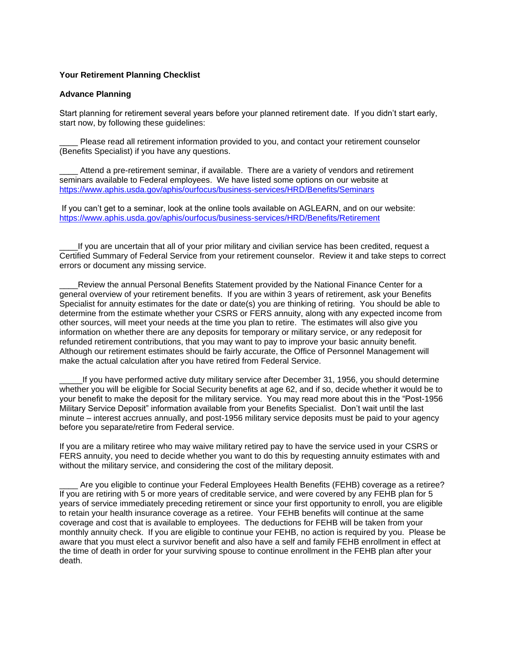## **Your Retirement Planning Checklist**

#### **Advance Planning**

Start planning for retirement several years before your planned retirement date. If you didn't start early, start now, by following these guidelines:

Please read all retirement information provided to you, and contact your retirement counselor (Benefits Specialist) if you have any questions.

Attend a pre-retirement seminar, if available. There are a variety of vendors and retirement seminars available to Federal employees. We have listed some options on our website at <https://www.aphis.usda.gov/aphis/ourfocus/business-services/HRD/Benefits/Seminars>

If you can't get to a seminar, look at the online tools available on AGLEARN, and on our website: <https://www.aphis.usda.gov/aphis/ourfocus/business-services/HRD/Benefits/Retirement>

If you are uncertain that all of your prior military and civilian service has been credited, request a Certified Summary of Federal Service from your retirement counselor. Review it and take steps to correct errors or document any missing service.

Review the annual Personal Benefits Statement provided by the National Finance Center for a general overview of your retirement benefits. If you are within 3 years of retirement, ask your Benefits Specialist for annuity estimates for the date or date(s) you are thinking of retiring. You should be able to determine from the estimate whether your CSRS or FERS annuity, along with any expected income from other sources, will meet your needs at the time you plan to retire. The estimates will also give you information on whether there are any deposits for temporary or military service, or any redeposit for refunded retirement contributions, that you may want to pay to improve your basic annuity benefit. Although our retirement estimates should be fairly accurate, the Office of Personnel Management will make the actual calculation after you have retired from Federal Service.

If you have performed active duty military service after December 31, 1956, you should determine whether you will be eligible for Social Security benefits at age 62, and if so, decide whether it would be to your benefit to make the deposit for the military service. You may read more about this in the "Post-1956 Military Service Deposit" information available from your Benefits Specialist. Don't wait until the last minute – interest accrues annually, and post-1956 military service deposits must be paid to your agency before you separate/retire from Federal service.

If you are a military retiree who may waive military retired pay to have the service used in your CSRS or FERS annuity, you need to decide whether you want to do this by requesting annuity estimates with and without the military service, and considering the cost of the military deposit.

Are you eligible to continue your Federal Employees Health Benefits (FEHB) coverage as a retiree? If you are retiring with 5 or more years of creditable service, and were covered by any FEHB plan for 5 years of service immediately preceding retirement or since your first opportunity to enroll, you are eligible to retain your health insurance coverage as a retiree. Your FEHB benefits will continue at the same coverage and cost that is available to employees. The deductions for FEHB will be taken from your monthly annuity check. If you are eligible to continue your FEHB, no action is required by you. Please be aware that you must elect a survivor benefit and also have a self and family FEHB enrollment in effect at the time of death in order for your surviving spouse to continue enrollment in the FEHB plan after your death.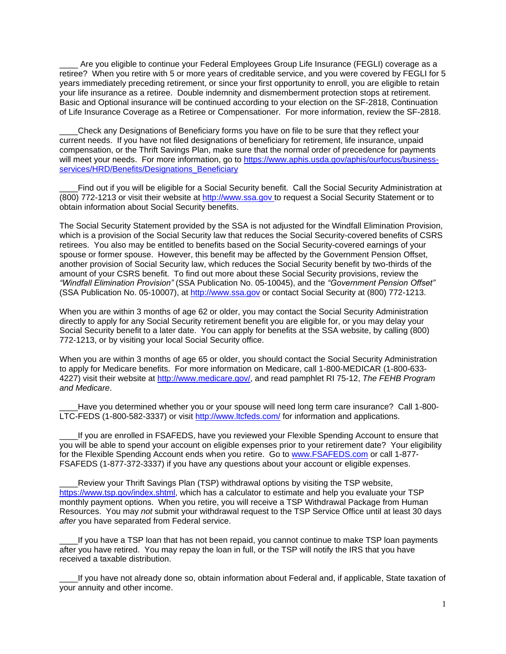Are you eligible to continue your Federal Employees Group Life Insurance (FEGLI) coverage as a retiree? When you retire with 5 or more years of creditable service, and you were covered by FEGLI for 5 years immediately preceding retirement, or since your first opportunity to enroll, you are eligible to retain your life insurance as a retiree. Double indemnity and dismemberment protection stops at retirement. Basic and Optional insurance will be continued according to your election on the SF-2818, Continuation of Life Insurance Coverage as a Retiree or Compensationer. For more information, review the SF-2818.

\_\_\_\_Check any Designations of Beneficiary forms you have on file to be sure that they reflect your current needs. If you have not filed designations of beneficiary for retirement, life insurance, unpaid compensation, or the Thrift Savings Plan, make sure that the normal order of precedence for payments will meet your needs. For more information, go to [https://www.aphis.usda.gov/aphis/ourfocus/business](https://www.aphis.usda.gov/aphis/ourfocus/business-services/HRD/Benefits/Designations_Beneficiary)[services/HRD/Benefits/Designations\\_Beneficiary](https://www.aphis.usda.gov/aphis/ourfocus/business-services/HRD/Benefits/Designations_Beneficiary)

Find out if you will be eligible for a Social Security benefit. Call the Social Security Administration at (800) 772-1213 or visit their website at [http://www.ssa.gov](http://www.ssa.gov/) to request a Social Security Statement or to obtain information about Social Security benefits.

The Social Security Statement provided by the SSA is not adjusted for the Windfall Elimination Provision, which is a provision of the Social Security law that reduces the Social Security-covered benefits of CSRS retirees. You also may be entitled to benefits based on the Social Security-covered earnings of your spouse or former spouse. However, this benefit may be affected by the Government Pension Offset, another provision of Social Security law, which reduces the Social Security benefit by two-thirds of the amount of your CSRS benefit. To find out more about these Social Security provisions, review the *"Windfall Elimination Provision"* (SSA Publication No. 05-10045), and the *"Government Pension Offset"* (SSA Publication No. 05-10007), at [http://www.ssa.gov](http://www.ssa.gov/) or contact Social Security at (800) 772-1213.

When you are within 3 months of age 62 or older, you may contact the Social Security Administration directly to apply for any Social Security retirement benefit you are eligible for, or you may delay your Social Security benefit to a later date. You can apply for benefits at the SSA website, by calling (800) 772-1213, or by visiting your local Social Security office.

When you are within 3 months of age 65 or older, you should contact the Social Security Administration to apply for Medicare benefits. For more information on Medicare, call 1-800-MEDICAR (1-800-633- 4227) visit their website at [http://www.medicare.gov/,](http://www.medicare.gov/) and read pamphlet RI 75-12, *The FEHB Program and Medicare*.

Have you determined whether you or your spouse will need long term care insurance? Call 1-800-LTC-FEDS (1-800-582-3337) or visit<http://www.ltcfeds.com/> for information and applications.

If you are enrolled in FSAFEDS, have you reviewed your Flexible Spending Account to ensure that you will be able to spend your account on eligible expenses prior to your retirement date? Your eligibility for the Flexible Spending Account ends when you retire. Go to [www.FSAFEDS.com](http://www.fsafeds.com/) or call 1-877- FSAFEDS (1-877-372-3337) if you have any questions about your account or eligible expenses.

Review your Thrift Savings Plan (TSP) withdrawal options by visiting the TSP website, [https://www.tsp.gov/index.shtml,](https://www.tsp.gov/index.shtml) which has a calculator to estimate and help you evaluate your TSP monthly payment options. When you retire, you will receive a TSP Withdrawal Package from Human Resources. You may *not* submit your withdrawal request to the TSP Service Office until at least 30 days *after* you have separated from Federal service.

If you have a TSP loan that has not been repaid, you cannot continue to make TSP loan payments after you have retired. You may repay the loan in full, or the TSP will notify the IRS that you have received a taxable distribution.

If you have not already done so, obtain information about Federal and, if applicable, State taxation of your annuity and other income.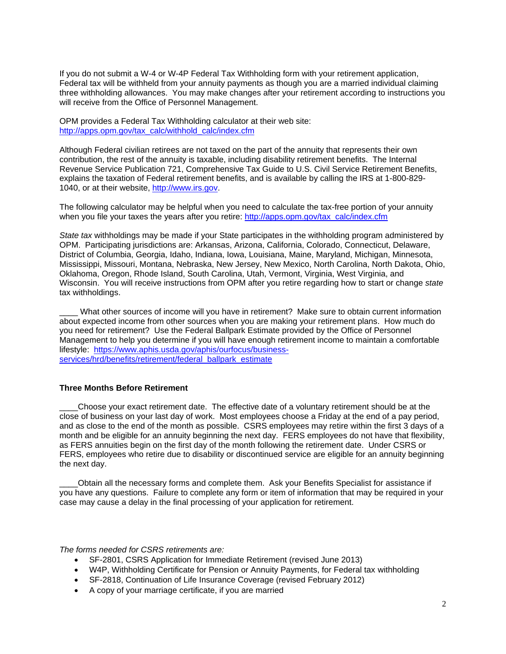If you do not submit a W-4 or W-4P Federal Tax Withholding form with your retirement application, Federal tax will be withheld from your annuity payments as though you are a married individual claiming three withholding allowances. You may make changes after your retirement according to instructions you will receive from the Office of Personnel Management.

OPM provides a Federal Tax Withholding calculator at their web site: [http://apps.opm.gov/tax\\_calc/withhold\\_calc/index.cfm](http://apps.opm.gov/tax_calc/withhold_calc/index.cfm)

Although Federal civilian retirees are not taxed on the part of the annuity that represents their own contribution, the rest of the annuity is taxable, including disability retirement benefits. The Internal Revenue Service Publication 721, Comprehensive Tax Guide to U.S. Civil Service Retirement Benefits, explains the taxation of Federal retirement benefits, and is available by calling the IRS at 1-800-829- 1040, or at their website, [http://www.irs.gov.](http://www.irs.gov/)

The following calculator may be helpful when you need to calculate the tax-free portion of your annuity when you file your taxes the years after you retire: [http://apps.opm.gov/tax\\_calc/index.cfm](http://apps.opm.gov/tax_calc/index.cfm)

*State tax* withholdings may be made if your State participates in the withholding program administered by OPM. Participating jurisdictions are: Arkansas, Arizona, California, Colorado, Connecticut, Delaware, District of Columbia, Georgia, Idaho, Indiana, Iowa, Louisiana, Maine, Maryland, Michigan, Minnesota, Mississippi, Missouri, Montana, Nebraska, New Jersey, New Mexico, North Carolina, North Dakota, Ohio, Oklahoma, Oregon, Rhode Island, South Carolina, Utah, Vermont, Virginia, West Virginia, and Wisconsin. You will receive instructions from OPM after you retire regarding how to start or change *state* tax withholdings.

What other sources of income will you have in retirement? Make sure to obtain current information about expected income from other sources when you are making your retirement plans. How much do you need for retirement? Use the Federal Ballpark Estimate provided by the Office of Personnel Management to help you determine if you will have enough retirement income to maintain a comfortable lifestyle: [https://www.aphis.usda.gov/aphis/ourfocus/business](https://www.aphis.usda.gov/aphis/ourfocus/business-services/hrd/benefits/retirement/federal_ballpark_estimate)[services/hrd/benefits/retirement/federal\\_ballpark\\_estimate](https://www.aphis.usda.gov/aphis/ourfocus/business-services/hrd/benefits/retirement/federal_ballpark_estimate)

#### **Three Months Before Retirement**

\_\_\_\_Choose your exact retirement date. The effective date of a voluntary retirement should be at the close of business on your last day of work. Most employees choose a Friday at the end of a pay period, and as close to the end of the month as possible. CSRS employees may retire within the first 3 days of a month and be eligible for an annuity beginning the next day. FERS employees do not have that flexibility, as FERS annuities begin on the first day of the month following the retirement date. Under CSRS or FERS, employees who retire due to disability or discontinued service are eligible for an annuity beginning the next day.

\_\_\_\_Obtain all the necessary forms and complete them. Ask your Benefits Specialist for assistance if you have any questions. Failure to complete any form or item of information that may be required in your case may cause a delay in the final processing of your application for retirement.

*The forms needed for CSRS retirements are:*

- SF-2801, CSRS Application for Immediate Retirement (revised June 2013)
- W4P, Withholding Certificate for Pension or Annuity Payments, for Federal tax withholding
- SF-2818, Continuation of Life Insurance Coverage (revised February 2012)
- A copy of your marriage certificate, if you are married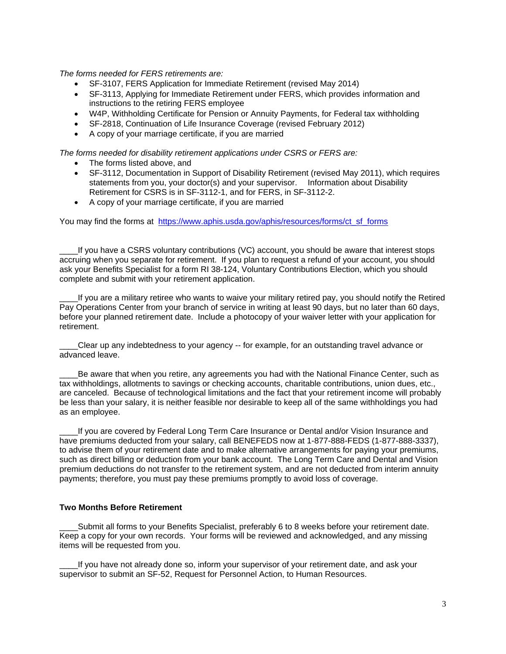*The forms needed for FERS retirements are:*

- SF-3107, FERS Application for Immediate Retirement (revised May 2014)
- SF-3113, Applying for Immediate Retirement under FERS, which provides information and instructions to the retiring FERS employee
- W4P, Withholding Certificate for Pension or Annuity Payments, for Federal tax withholding
- SF-2818, Continuation of Life Insurance Coverage (revised February 2012)
- A copy of your marriage certificate, if you are married

*The forms needed for disability retirement applications under CSRS or FERS are:*

- The forms listed above, and
- SF-3112, Documentation in Support of Disability Retirement (revised May 2011), which requires statements from you, your doctor(s) and your supervisor. Information about Disability Retirement for CSRS is in SF-3112-1, and for FERS, in SF-3112-2.
- A copy of your marriage certificate, if you are married

You may find the forms at [https://www.aphis.usda.gov/aphis/resources/forms/ct\\_sf\\_forms](https://www.aphis.usda.gov/aphis/resources/forms/ct_sf_forms)

If you have a CSRS voluntary contributions (VC) account, you should be aware that interest stops accruing when you separate for retirement. If you plan to request a refund of your account, you should ask your Benefits Specialist for a form RI 38-124, Voluntary Contributions Election, which you should complete and submit with your retirement application.

\_\_\_\_If you are a military retiree who wants to waive your military retired pay, you should notify the Retired Pay Operations Center from your branch of service in writing at least 90 days, but no later than 60 days, before your planned retirement date. Include a photocopy of your waiver letter with your application for retirement.

\_\_\_\_Clear up any indebtedness to your agency -- for example, for an outstanding travel advance or advanced leave.

Be aware that when you retire, any agreements you had with the National Finance Center, such as tax withholdings, allotments to savings or checking accounts, charitable contributions, union dues, etc., are canceled. Because of technological limitations and the fact that your retirement income will probably be less than your salary, it is neither feasible nor desirable to keep all of the same withholdings you had as an employee.

If you are covered by Federal Long Term Care Insurance or Dental and/or Vision Insurance and have premiums deducted from your salary, call BENEFEDS now at 1-877-888-FEDS (1-877-888-3337), to advise them of your retirement date and to make alternative arrangements for paying your premiums, such as direct billing or deduction from your bank account. The Long Term Care and Dental and Vision premium deductions do not transfer to the retirement system, and are not deducted from interim annuity payments; therefore, you must pay these premiums promptly to avoid loss of coverage.

## **Two Months Before Retirement**

Submit all forms to your Benefits Specialist, preferably 6 to 8 weeks before your retirement date. Keep a copy for your own records. Your forms will be reviewed and acknowledged, and any missing items will be requested from you.

If you have not already done so, inform your supervisor of your retirement date, and ask your supervisor to submit an SF-52, Request for Personnel Action, to Human Resources.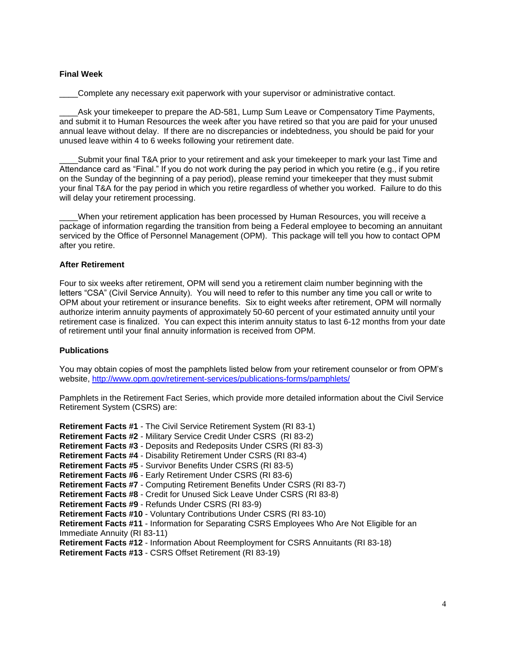## **Final Week**

Complete any necessary exit paperwork with your supervisor or administrative contact.

Ask your timekeeper to prepare the AD-581, Lump Sum Leave or Compensatory Time Payments, and submit it to Human Resources the week after you have retired so that you are paid for your unused annual leave without delay. If there are no discrepancies or indebtedness, you should be paid for your unused leave within 4 to 6 weeks following your retirement date.

Submit your final T&A prior to your retirement and ask your timekeeper to mark your last Time and Attendance card as "Final." If you do not work during the pay period in which you retire (e.g., if you retire on the Sunday of the beginning of a pay period), please remind your timekeeper that they must submit your final T&A for the pay period in which you retire regardless of whether you worked. Failure to do this will delay your retirement processing.

\_\_\_\_When your retirement application has been processed by Human Resources, you will receive a package of information regarding the transition from being a Federal employee to becoming an annuitant serviced by the Office of Personnel Management (OPM). This package will tell you how to contact OPM after you retire.

#### **After Retirement**

Four to six weeks after retirement, OPM will send you a retirement claim number beginning with the letters "CSA" (Civil Service Annuity). You will need to refer to this number any time you call or write to OPM about your retirement or insurance benefits. Six to eight weeks after retirement, OPM will normally authorize interim annuity payments of approximately 50-60 percent of your estimated annuity until your retirement case is finalized. You can expect this interim annuity status to last 6-12 months from your date of retirement until your final annuity information is received from OPM.

# **Publications**

You may obtain copies of most the pamphlets listed below from your retirement counselor or from OPM's website,<http://www.opm.gov/retirement-services/publications-forms/pamphlets/>

Pamphlets in the Retirement Fact Series, which provide more detailed information about the Civil Service Retirement System (CSRS) are:

**Retirement Facts #1** - The Civil Service Retirement System (RI 83-1) **Retirement Facts #2** - Military Service Credit Under CSRS (RI 83-2) **Retirement Facts #3** - Deposits and Redeposits Under CSRS (RI 83-3) **Retirement Facts #4** - Disability Retirement Under CSRS (RI 83-4) **Retirement Facts #5** - Survivor Benefits Under CSRS (RI 83-5) **Retirement Facts #6** - Early Retirement Under CSRS (RI 83-6) **Retirement Facts #7** - Computing Retirement Benefits Under CSRS (RI 83-7) **Retirement Facts #8** - Credit for Unused Sick Leave Under CSRS (RI 83-8) **Retirement Facts #9** - Refunds Under CSRS (RI 83-9) **Retirement Facts #10** - Voluntary Contributions Under CSRS (RI 83-10) **Retirement Facts #11** - Information for Separating CSRS Employees Who Are Not Eligible for an Immediate Annuity (RI 83-11) **Retirement Facts #12** - Information About Reemployment for CSRS Annuitants (RI 83-18) **Retirement Facts #13** - CSRS Offset Retirement (RI 83-19)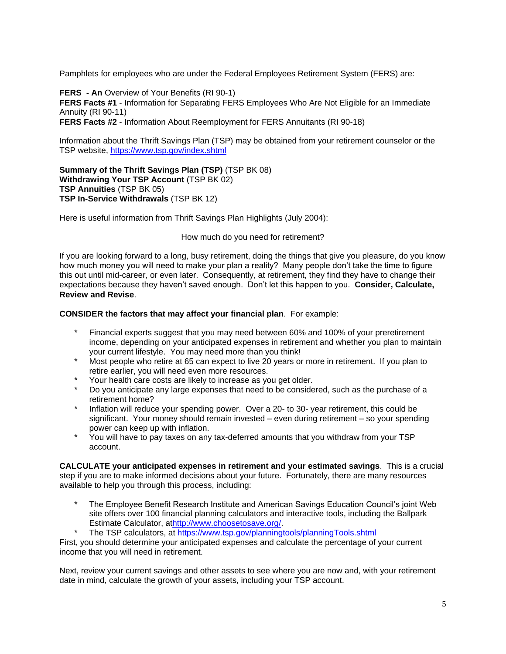Pamphlets for employees who are under the Federal Employees Retirement System (FERS) are:

**FERS - An** Overview of Your Benefits (RI 90-1) **FERS Facts #1** - Information for Separating FERS Employees Who Are Not Eligible for an Immediate Annuity (RI 90-11) **FERS Facts #2** - Information About Reemployment for FERS Annuitants (RI 90-18)

Information about the Thrift Savings Plan (TSP) may be obtained from your retirement counselor or the TSP website[, https://www.tsp.gov/index.shtml](https://www.tsp.gov/index.shtml)

**Summary of the Thrift Savings Plan (TSP)** (TSP BK 08) **Withdrawing Your TSP Account** (TSP BK 02) **TSP Annuities** (TSP BK 05) **TSP In-Service Withdrawals** (TSP BK 12)

Here is useful information from Thrift Savings Plan Highlights (July 2004):

How much do you need for retirement?

If you are looking forward to a long, busy retirement, doing the things that give you pleasure, do you know how much money you will need to make your plan a reality? Many people don't take the time to figure this out until mid-career, or even later. Consequently, at retirement, they find they have to change their expectations because they haven't saved enough. Don't let this happen to you. **Consider, Calculate, Review and Revise**.

# **CONSIDER the factors that may affect your financial plan**. For example:

- Financial experts suggest that you may need between 60% and 100% of your preretirement income, depending on your anticipated expenses in retirement and whether you plan to maintain your current lifestyle. You may need more than you think!
- \* Most people who retire at 65 can expect to live 20 years or more in retirement. If you plan to retire earlier, you will need even more resources.
- Your health care costs are likely to increase as you get older.
- Do you anticipate any large expenses that need to be considered, such as the purchase of a retirement home?
- \* Inflation will reduce your spending power. Over a 20- to 30- year retirement, this could be significant. Your money should remain invested – even during retirement – so your spending power can keep up with inflation.
- \* You will have to pay taxes on any tax-deferred amounts that you withdraw from your TSP account.

**CALCULATE your anticipated expenses in retirement and your estimated savings**. This is a crucial step if you are to make informed decisions about your future. Fortunately, there are many resources available to help you through this process, including:

- The Employee Benefit Research Institute and American Savings Education Council's joint Web site offers over 100 financial planning calculators and interactive tools, including the Ballpark Estimate Calculator, a[thttp://www.choosetosave.org/.](http://www.choosetosave.org/)
- The TSP calculators, at <https://www.tsp.gov/planningtools/planningTools.shtml>

First, you should determine your anticipated expenses and calculate the percentage of your current income that you will need in retirement.

Next, review your current savings and other assets to see where you are now and, with your retirement date in mind, calculate the growth of your assets, including your TSP account.